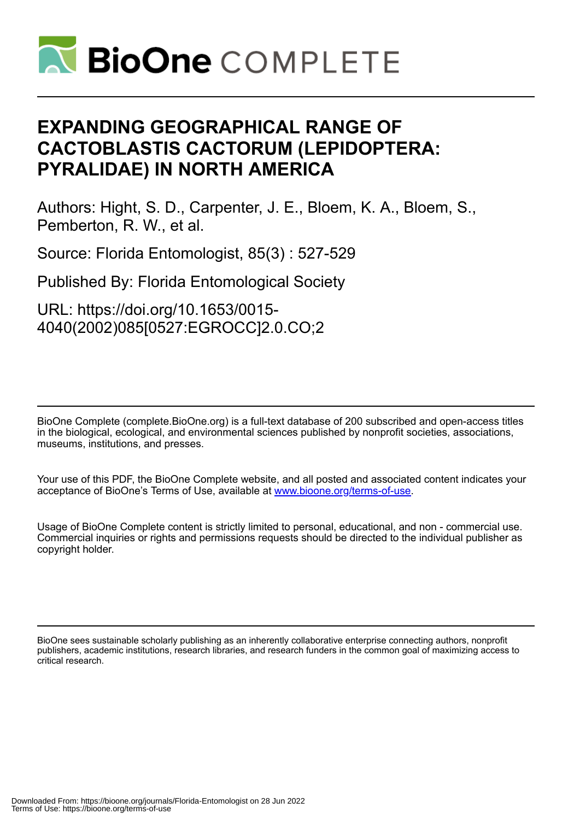

# **EXPANDING GEOGRAPHICAL RANGE OF CACTOBLASTIS CACTORUM (LEPIDOPTERA: PYRALIDAE) IN NORTH AMERICA**

Authors: Hight, S. D., Carpenter, J. E., Bloem, K. A., Bloem, S., Pemberton, R. W., et al.

Source: Florida Entomologist, 85(3) : 527-529

Published By: Florida Entomological Society

URL: https://doi.org/10.1653/0015- 4040(2002)085[0527:EGROCC]2.0.CO;2

BioOne Complete (complete.BioOne.org) is a full-text database of 200 subscribed and open-access titles in the biological, ecological, and environmental sciences published by nonprofit societies, associations, museums, institutions, and presses.

Your use of this PDF, the BioOne Complete website, and all posted and associated content indicates your acceptance of BioOne's Terms of Use, available at www.bioone.org/terms-of-use.

Usage of BioOne Complete content is strictly limited to personal, educational, and non - commercial use. Commercial inquiries or rights and permissions requests should be directed to the individual publisher as copyright holder.

BioOne sees sustainable scholarly publishing as an inherently collaborative enterprise connecting authors, nonprofit publishers, academic institutions, research libraries, and research funders in the common goal of maximizing access to critical research.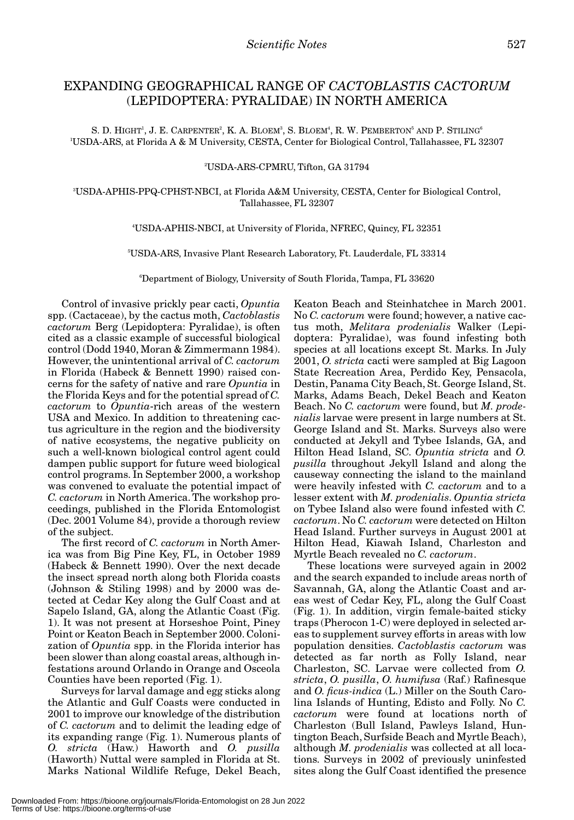# EXPANDING GEOGRAPHICAL RANGE OF *CACTOBLASTIS CACTORUM* (LEPIDOPTERA: PYRALIDAE) IN NORTH AMERICA

S. D. HIGHT<sup>1</sup>, J. E. CARPENTER<sup>2</sup>, K. A. BLOEM<sup>3</sup>, S. BLOEM<sup>4</sup>, R. W. PEMBERTON<sup>5</sup> AND P. STILING<sup>6</sup> 1 USDA-ARS, at Florida A & M University, CESTA, Center for Biological Control, Tallahassee, FL 32307

### 2 USDA-ARS-CPMRU, Tifton, GA 31794

3 USDA-APHIS-PPQ-CPHST-NBCI, at Florida A&M University, CESTA, Center for Biological Control, Tallahassee, FL 32307

## 4 USDA-APHIS-NBCI, at University of Florida, NFREC, Quincy, FL 32351

5 USDA-ARS, Invasive Plant Research Laboratory, Ft. Lauderdale, FL 33314

6 Department of Biology, University of South Florida, Tampa, FL 33620

Control of invasive prickly pear cacti, *Opuntia* spp. (Cactaceae), by the cactus moth, *Cactoblastis cactorum* Berg (Lepidoptera: Pyralidae), is often cited as a classic example of successful biological control (Dodd 1940, Moran & Zimmermann 1984). However, the unintentional arrival of *C. cactorum* in Florida (Habeck & Bennett 1990) raised concerns for the safety of native and rare *Opuntia* in the Florida Keys and for the potential spread of *C. cactorum* to *Opuntia*-rich areas of the western USA and Mexico. In addition to threatening cactus agriculture in the region and the biodiversity of native ecosystems, the negative publicity on such a well-known biological control agent could dampen public support for future weed biological control programs. In September 2000, a workshop was convened to evaluate the potential impact of *C. cactorum* in North America. The workshop proceedings, published in the Florida Entomologist (Dec. 2001 Volume 84), provide a thorough review of the subject.

The first record of *C. cactorum* in North America was from Big Pine Key, FL, in October 1989 (Habeck & Bennett 1990). Over the next decade the insect spread north along both Florida coasts (Johnson & Stiling 1998) and by 2000 was detected at Cedar Key along the Gulf Coast and at Sapelo Island, GA, along the Atlantic Coast (Fig. 1). It was not present at Horseshoe Point, Piney Point or Keaton Beach in September 2000. Colonization of *Opuntia* spp. in the Florida interior has been slower than along coastal areas, although infestations around Orlando in Orange and Osceola Counties have been reported (Fig. 1).

Surveys for larval damage and egg sticks along the Atlantic and Gulf Coasts were conducted in 2001 to improve our knowledge of the distribution of *C. cactorum* and to delimit the leading edge of its expanding range (Fig. 1). Numerous plants of *O. stricta* (Haw.) Haworth and *O. pusilla* (Haworth) Nuttal were sampled in Florida at St. Marks National Wildlife Refuge, Dekel Beach,

Keaton Beach and Steinhatchee in March 2001. No *C. cactorum* were found; however, a native cactus moth, *Melitara prodenialis* Walker (Lepidoptera: Pyralidae), was found infesting both species at all locations except St. Marks. In July 2001, *O. stricta* cacti were sampled at Big Lagoon State Recreation Area, Perdido Key, Pensacola, Destin, Panama City Beach, St. George Island, St. Marks, Adams Beach, Dekel Beach and Keaton Beach. No *C. cactorum* were found, but *M. prodenialis* larvae were present in large numbers at St. George Island and St. Marks. Surveys also were conducted at Jekyll and Tybee Islands, GA, and Hilton Head Island, SC. *Opuntia stricta* and *O. pusilla* throughout Jekyll Island and along the causeway connecting the island to the mainland were heavily infested with *C. cactorum* and to a lesser extent with *M. prodenialis*. *Opuntia stricta* on Tybee Island also were found infested with *C. cactorum*. No *C. cactorum* were detected on Hilton Head Island. Further surveys in August 2001 at Hilton Head, Kiawah Island, Charleston and Myrtle Beach revealed no *C. cactorum*.

These locations were surveyed again in 2002 and the search expanded to include areas north of Savannah, GA, along the Atlantic Coast and areas west of Cedar Key, FL, along the Gulf Coast (Fig. 1). In addition, virgin female-baited sticky traps (Pherocon 1-C) were deployed in selected areas to supplement survey efforts in areas with low population densities. *Cactoblastis cactorum* was detected as far north as Folly Island, near Charleston, SC. Larvae were collected from *O. stricta*, *O. pusilla*, *O. humifusa* (Raf.) Rafinesque and *O. ficus-indica* (L.) Miller on the South Carolina Islands of Hunting, Edisto and Folly. No *C. cactorum* were found at locations north of Charleston (Bull Island, Pawleys Island, Huntington Beach, Surfside Beach and Myrtle Beach), although *M. prodenialis* was collected at all locations. Surveys in 2002 of previously uninfested sites along the Gulf Coast identified the presence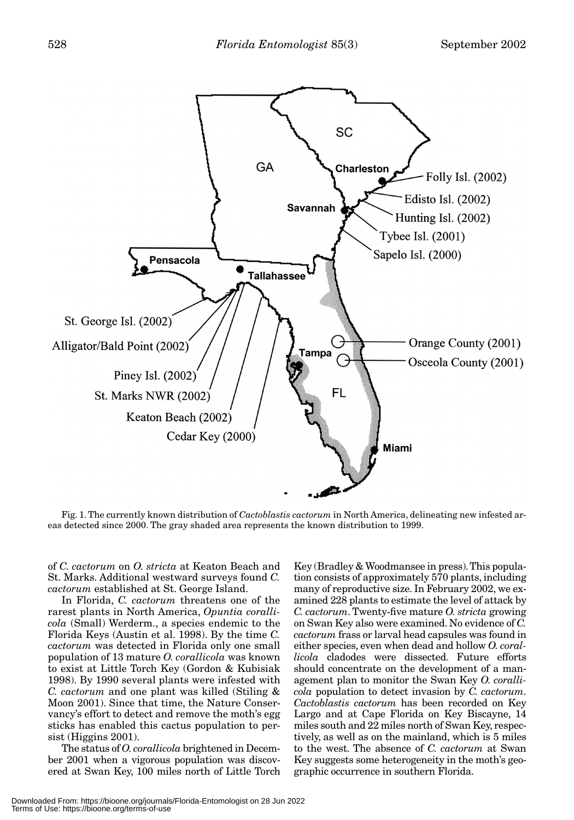

Fig. 1. The currently known distribution of *Cactoblastis cactorum* in North America, delineating new infested areas detected since 2000. The gray shaded area represents the known distribution to 1999.

of *C. cactorum* on *O. stricta* at Keaton Beach and St. Marks. Additional westward surveys found *C. cactorum* established at St. George Island.

In Florida, *C. cactorum* threatens one of the rarest plants in North America, *Opuntia corallicola* (Small) Werderm., a species endemic to the Florida Keys (Austin et al. 1998). By the time *C. cactorum* was detected in Florida only one small population of 13 mature *O. corallicola* was known to exist at Little Torch Key (Gordon & Kubisiak 1998). By 1990 several plants were infested with *C. cactorum* and one plant was killed (Stiling & Moon 2001). Since that time, the Nature Conservancy's effort to detect and remove the moth's egg sticks has enabled this cactus population to persist (Higgins 2001).

The status of *O. corallicola* brightened in December 2001 when a vigorous population was discovered at Swan Key, 100 miles north of Little Torch

Key (Bradley & Woodmansee in press). This population consists of approximately 570 plants, including many of reproductive size. In February 2002, we examined 228 plants to estimate the level of attack by *C. cactorum*. Twenty-five mature *O. stricta* growing on Swan Key also were examined. No evidence of *C. cactorum* frass or larval head capsules was found in either species, even when dead and hollow *O. corallicola* cladodes were dissected. Future efforts should concentrate on the development of a management plan to monitor the Swan Key *O. corallicola* population to detect invasion by *C. cactorum*. *Cactoblastis cactorum* has been recorded on Key Largo and at Cape Florida on Key Biscayne, 14 miles south and 22 miles north of Swan Key, respectively, as well as on the mainland, which is 5 miles to the west. The absence of *C. cactorum* at Swan Key suggests some heterogeneity in the moth's geographic occurrence in southern Florida.